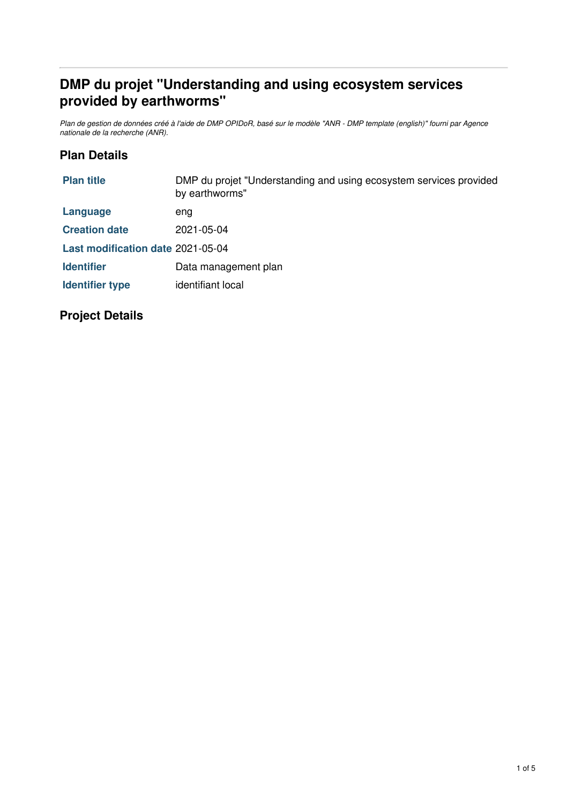# **DMP du projet "Understanding and using ecosystem services provided by earthworms"**

Plan de gestion de données créé à l'aide de DMP OPIDoR, basé sur le modèle "ANR - DMP template (english)" fourni par Agence *nationale de la recherche (ANR).*

### **Plan Details**

| <b>Plan title</b>                 | DMP du projet "Understanding and using ecosystem services provided<br>by earthworms" |
|-----------------------------------|--------------------------------------------------------------------------------------|
| Language                          | eng                                                                                  |
| <b>Creation date</b>              | 2021-05-04                                                                           |
| Last modification date 2021-05-04 |                                                                                      |
| <b>Identifier</b>                 | Data management plan                                                                 |
| <b>Identifier type</b>            | identifiant local                                                                    |
|                                   |                                                                                      |

## **Project Details**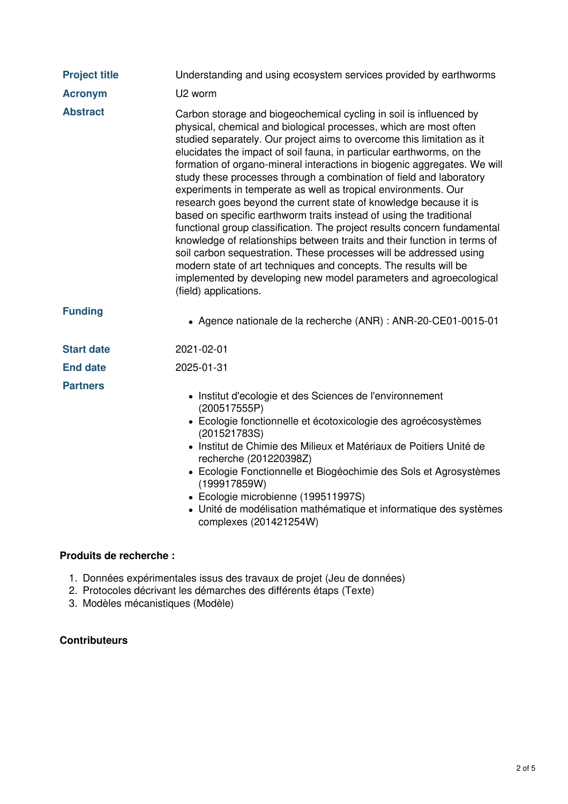| <b>Project title</b> | Understanding and using ecosystem services provided by earthworms                                                                                                                                                                                                                                                                                                                                                                                                                                                                                                                                                                                                                                                                                                                                                                                                                                                                                                                                                                                           |
|----------------------|-------------------------------------------------------------------------------------------------------------------------------------------------------------------------------------------------------------------------------------------------------------------------------------------------------------------------------------------------------------------------------------------------------------------------------------------------------------------------------------------------------------------------------------------------------------------------------------------------------------------------------------------------------------------------------------------------------------------------------------------------------------------------------------------------------------------------------------------------------------------------------------------------------------------------------------------------------------------------------------------------------------------------------------------------------------|
| <b>Acronym</b>       | U2 worm                                                                                                                                                                                                                                                                                                                                                                                                                                                                                                                                                                                                                                                                                                                                                                                                                                                                                                                                                                                                                                                     |
| <b>Abstract</b>      | Carbon storage and biogeochemical cycling in soil is influenced by<br>physical, chemical and biological processes, which are most often<br>studied separately. Our project aims to overcome this limitation as it<br>elucidates the impact of soil fauna, in particular earthworms, on the<br>formation of organo-mineral interactions in biogenic aggregates. We will<br>study these processes through a combination of field and laboratory<br>experiments in temperate as well as tropical environments. Our<br>research goes beyond the current state of knowledge because it is<br>based on specific earthworm traits instead of using the traditional<br>functional group classification. The project results concern fundamental<br>knowledge of relationships between traits and their function in terms of<br>soil carbon sequestration. These processes will be addressed using<br>modern state of art techniques and concepts. The results will be<br>implemented by developing new model parameters and agroecological<br>(field) applications. |
| <b>Funding</b>       | • Agence nationale de la recherche (ANR) : ANR-20-CE01-0015-01                                                                                                                                                                                                                                                                                                                                                                                                                                                                                                                                                                                                                                                                                                                                                                                                                                                                                                                                                                                              |
| <b>Start date</b>    | 2021-02-01                                                                                                                                                                                                                                                                                                                                                                                                                                                                                                                                                                                                                                                                                                                                                                                                                                                                                                                                                                                                                                                  |
| <b>End date</b>      | 2025-01-31                                                                                                                                                                                                                                                                                                                                                                                                                                                                                                                                                                                                                                                                                                                                                                                                                                                                                                                                                                                                                                                  |
| <b>Partners</b>      | • Institut d'ecologie et des Sciences de l'environnement<br>(200517555P)<br>• Ecologie fonctionnelle et écotoxicologie des agroécosystèmes<br>(201521783S)<br>· Institut de Chimie des Milieux et Matériaux de Poitiers Unité de<br>recherche (201220398Z)<br>• Ecologie Fonctionnelle et Biogéochimie des Sols et Agrosystèmes<br>(199917859W)<br>• Ecologie microbienne (199511997S)<br>· Unité de modélisation mathématique et informatique des systèmes<br>complexes (201421254W)                                                                                                                                                                                                                                                                                                                                                                                                                                                                                                                                                                       |

#### **Produits de recherche :**

- 1. Données expérimentales issus des travaux de projet (Jeu de données)
- 2. Protocoles décrivant les démarches des différents étaps (Texte)
- 3. Modèles mécanistiques (Modèle)

#### **Contributeurs**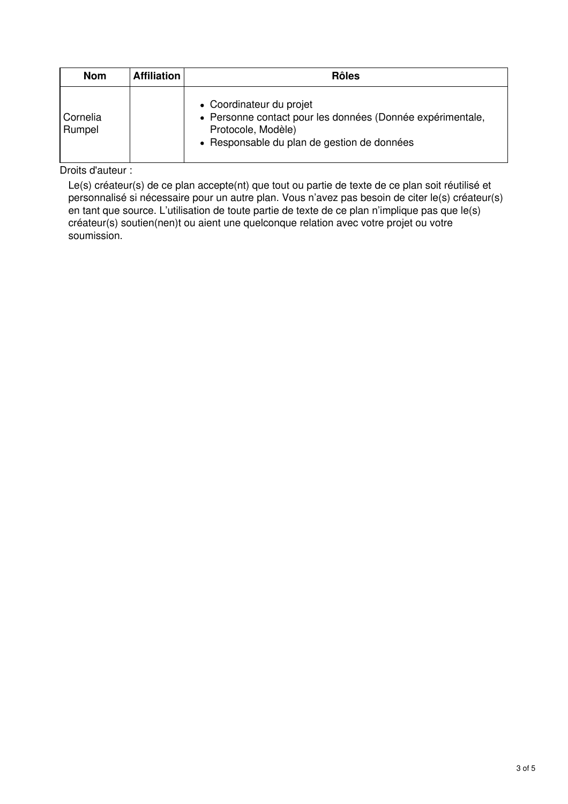| <b>Nom</b>         | <b>Affiliation</b> | <b>Rôles</b>                                                                                                                                                |
|--------------------|--------------------|-------------------------------------------------------------------------------------------------------------------------------------------------------------|
| Cornelia<br>Rumpel |                    | • Coordinateur du projet<br>• Personne contact pour les données (Donnée expérimentale,<br>Protocole, Modèle)<br>• Responsable du plan de gestion de données |

Droits d'auteur :

Le(s) créateur(s) de ce plan accepte(nt) que tout ou partie de texte de ce plan soit réutilisé et personnalisé si nécessaire pour un autre plan. Vous n'avez pas besoin de citer le(s) créateur(s) en tant que source. L'utilisation de toute partie de texte de ce plan n'implique pas que le(s) créateur(s) soutien(nen)t ou aient une quelconque relation avec votre projet ou votre soumission.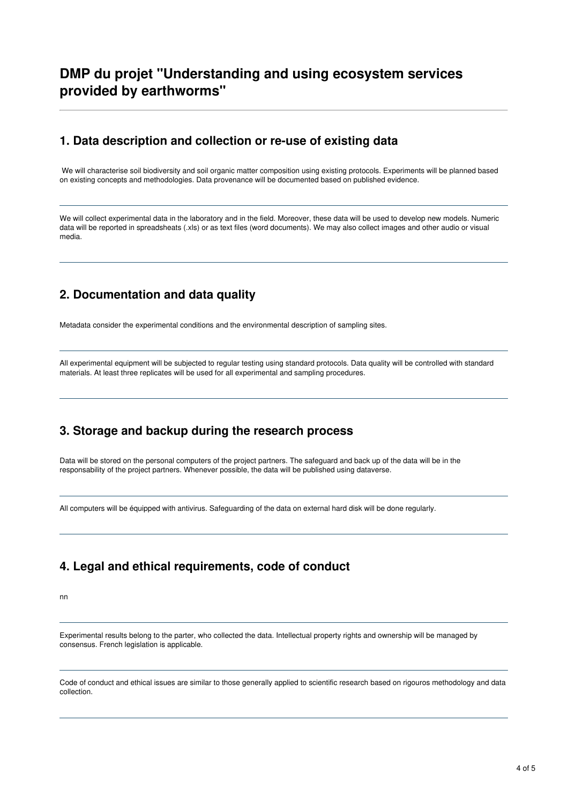## **DMP du projet "Understanding and using ecosystem services provided by earthworms"**

#### **1. Data description and collection or re-use of existing data**

We will characterise soil biodiversity and soil organic matter composition using existing protocols. Experiments will be planned based on existing concepts and methodologies. Data provenance will be documented based on published evidence.

We will collect experimental data in the laboratory and in the field. Moreover, these data will be used to develop new models. Numeric data will be reported in spreadsheats (.xls) or as text files (word documents). We may also collect images and other audio or visual media.

## **2. Documentation and data quality**

Metadata consider the experimental conditions and the environmental description of sampling sites.

All experimental equipment will be subjected to regular testing using standard protocols. Data quality will be controlled with standard materials. At least three replicates will be used for all experimental and sampling procedures.

## **3. Storage and backup during the research process**

Data will be stored on the personal computers of the project partners. The safeguard and back up of the data will be in the responsability of the project partners. Whenever possible, the data will be published using dataverse.

All computers will be équipped with antivirus. Safeguarding of the data on external hard disk will be done regularly.

#### **4. Legal and ethical requirements, code of conduct**

nn

Experimental results belong to the parter, who collected the data. Intellectual property rights and ownership will be managed by consensus. French legislation is applicable.

Code of conduct and ethical issues are similar to those generally applied to scientific research based on rigouros methodology and data collection.